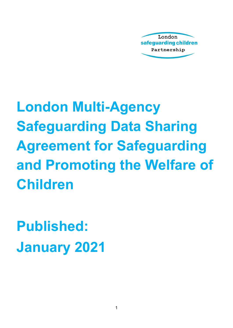

**London Multi-Agency Safeguarding Data Sharing Agreement for Safeguarding and Promoting the Welfare of Children**

**Published: January 2021**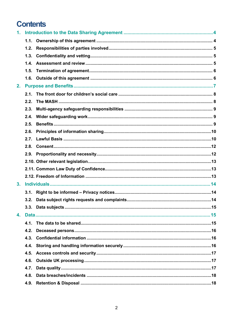## **Contents**

| 1. |      |  |  |  |
|----|------|--|--|--|
|    |      |  |  |  |
|    | 1.2. |  |  |  |
|    | 1.3. |  |  |  |
|    | 1.4. |  |  |  |
|    | 1.5. |  |  |  |
|    |      |  |  |  |
| 2. |      |  |  |  |
|    | 2.1. |  |  |  |
|    | 2.2. |  |  |  |
|    | 2.3. |  |  |  |
|    | 2.4. |  |  |  |
|    | 2.5. |  |  |  |
|    | 2.6. |  |  |  |
|    | 2.7. |  |  |  |
|    | 2.8. |  |  |  |
|    |      |  |  |  |
|    |      |  |  |  |
|    |      |  |  |  |
|    |      |  |  |  |
| 3. |      |  |  |  |
|    |      |  |  |  |
|    |      |  |  |  |
|    |      |  |  |  |
| 4. |      |  |  |  |
|    | 4.1. |  |  |  |
|    | 4.2. |  |  |  |
|    | 4.3. |  |  |  |
|    | 4.4. |  |  |  |
|    | 4.5. |  |  |  |
|    | 4.6. |  |  |  |
|    | 4.7. |  |  |  |
|    | 4.8. |  |  |  |
|    | 4.9. |  |  |  |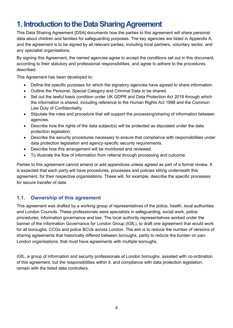## <span id="page-3-0"></span>**1. Introduction to the Data Sharing Agreement**

This Data Sharing Agreement [DSA] documents how the parties to this agreement will share personal data about children and families for safeguarding purposes. The key agencies are listed in Appendix A, and the agreement is to be signed by all relevant parties, including local partners, voluntary sector, and any specialist organisations.

By signing this Agreement, the named agencies agree to accept the conditions set out in this document, according to their statutory and professional responsibilities, and agree to adhere to the procedures described.

This Agreement has been developed to:

- Define the specific purposes for which the signatory agencies have agreed to share information.
- Outline the Personal, Special Category and Criminal Data to be shared.
- Set out the lawful basis condition under UK GDPR and Data Protection Act 2018 through which the information is shared, including reference to the Human Rights Act 1998 and the Common Law Duty of Confidentiality.
- Stipulate the roles and procedure that will support the processing/sharing of information between agencies.
- Describe how the rights of the data subject(s) will be protected as stipulated under the data protection legislation.
- Describe the security procedures necessary to ensure that compliance with responsibilities under data protection legislation and agency-specific security requirements.
- Describe how this arrangement will be monitored and reviewed.
- To illustrate the flow of information from referral through processing and outcome.

Parties to this agreement cannot amend or add appendices unless agreed as part of a formal review. It is expected that each party will have procedures, processes and policies sitting underneath this agreement, for their respective organisations. These will, for example, describe the specific processes for secure transfer of data.

#### <span id="page-3-1"></span>**1.1. Ownership of this agreement**

This agreement was drafted by a working group of representatives of the police, health, local authorities and London Councils. These professionals were specialists in safeguarding, social work, police procedures, information governance and law. The local authority representatives worked under the banner of the Information Governance for London Group (IGfL), to draft one agreement that would work for all boroughs, CCGs and police BCUs across London. The aim is to reduce the number of versions of sharing agreements that historically differed between boroughs, partly to reduce the burden on pan-London organisations, that must have agreements with multiple boroughs.

IGfL, a group of information and security professionals at London boroughs, assisted with co-ordination of this agreement, but the responsibilities within it, and compliance with data protection legislation, remain with the listed data controllers.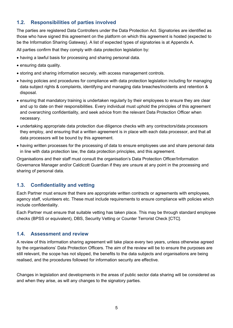#### <span id="page-4-0"></span>**1.2. Responsibilities of parties involved**

The parties are registered Data Controllers under the Data Protection Act. Signatories are identified as those who have signed this agreement on the platform on which this agreement is hosted (expected to be the Information Sharing Gateway). A list of expected types of signatories is at Appendix A.

All parties confirm that they comply with data protection legislation by:

- having a lawful basis for processing and sharing personal data.
- ensuring data quality.
- storing and sharing information securely, with access management controls.
- having policies and procedures for compliance with data protection legislation including for managing data subject rights & complaints, identifying and managing data breaches/incidents and retention & disposal.
- ensuring that mandatory training is undertaken regularly by their employees to ensure they are clear and up to date on their responsibilities. Every individual must uphold the principles of this agreement and overarching confidentiality, and seek advice from the relevant Data Protection Officer when necessary.
- undertaking appropriate data protection due diligence checks with any contractors/data processors they employ, and ensuring that a written agreement is in place with each data processor, and that all data processors will be bound by this agreement.
- having written processes for the processing of data to ensure employees use and share personal data in line with data protection law, the data protection principles, and this agreement.

Organisations and their staff must consult the organisation's Data Protection Officer/Information Governance Manager and/or Caldicott Guardian if they are unsure at any point in the processing and sharing of personal data.

#### <span id="page-4-1"></span>**1.3. Confidentiality and vetting**

Each Partner must ensure that there are appropriate written contracts or agreements with employees, agency staff, volunteers etc. These must include requirements to ensure compliance with policies which include confidentiality.

Each Partner must ensure that suitable vetting has taken place. This may be through standard employee checks (BPSS or equivalent), DBS, Security Vetting or Counter Terrorist Check [CTC].

#### <span id="page-4-2"></span>**1.4. Assessment and review**

A review of this information sharing agreement will take place every two years, unless otherwise agreed by the organisations' Data Protection Officers. The aim of the review will be to ensure the purposes are still relevant, the scope has not slipped, the benefits to the data subjects and organisations are being realised, and the procedures followed for information security are effective.

Changes in legislation and developments in the areas of public sector data sharing will be considered as and when they arise, as will any changes to the signatory parties.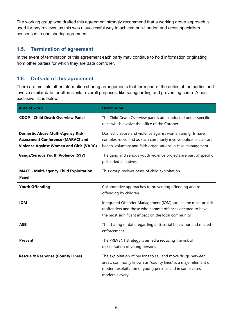The working group who drafted this agreement strongly recommend that a working group approach is used for any reviews, as this was a successful way to achieve pan-London and cross-specialism consensus to one sharing agreement.

#### <span id="page-5-0"></span>**1.5. Termination of agreement**

In the event of termination of this agreement each party may continue to hold information originating from other parties for which they are data controller.

#### <span id="page-5-1"></span>**1.6. Outside of this agreement**

There are multiple other information sharing arrangements that form part of the duties of the parties and involve similar data for often similar overall purposes, like safeguarding and preventing crime. A nonexclusive list is below.

| <b>Area of work</b>                                                                                                                   | <b>Description</b>                                                                                                                                                                                        |
|---------------------------------------------------------------------------------------------------------------------------------------|-----------------------------------------------------------------------------------------------------------------------------------------------------------------------------------------------------------|
| <b>CDOP - Child Death Overview Panel</b>                                                                                              | The Child Death Overview panels are conducted under specific<br>rules which involve the office of the Coroner.                                                                                            |
| <b>Domestic Abuse Multi-Agency Risk</b><br><b>Assessment Conference (MARAC) and</b><br><b>Violence Against Women and Girls (VARG)</b> | Domestic abuse and violence against women and girls have<br>complex roots, and as such commonly involve police, social care,<br>health, voluntary and faith organisations in case management.             |
| <b>Gangs/Serious Youth Violence (SYV)</b>                                                                                             | The gang and serious youth violence projects are part of specific<br>police-led initiatives.                                                                                                              |
| <b>MACE - Multi-agency Child Exploitation</b><br>Panel                                                                                | This group reviews cases of child exploitation.                                                                                                                                                           |
| <b>Youth Offending</b>                                                                                                                | Collaborative approaches to preventing offending and re-<br>offending by children.                                                                                                                        |
| <b>IOM</b>                                                                                                                            | Integrated Offender Management (IOM) tackles the most prolific<br>reoffenders and those who commit offences deemed to have<br>the most significant impact on the local community.                         |
| <b>ASB</b>                                                                                                                            | The sharing of data regarding anti-social behaviour and related<br>enforcement                                                                                                                            |
| <b>Prevent</b>                                                                                                                        | The PREVENT strategy is aimed a reducing the risk of<br>radicalisation of young persons                                                                                                                   |
| <b>Rescue &amp; Response (County Lines)</b>                                                                                           | The exploitation of persons to sell and move drugs between<br>areas, commonly known as "county lines" is a major element of<br>modern exploitation of young persons and in some cases,<br>modern slavery. |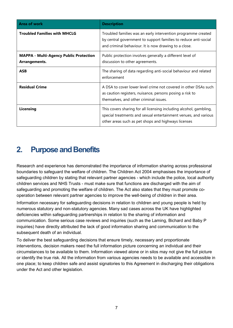| <b>Area of work</b>                                            | <b>Description</b>                                                                                                                                                                           |
|----------------------------------------------------------------|----------------------------------------------------------------------------------------------------------------------------------------------------------------------------------------------|
| <b>Troubled Families with MHCLG</b>                            | Troubled families was an early intervention programme created<br>by central government to support families to reduce anti-social<br>and criminal behaviour. It is now drawing to a close.    |
| <b>MAPPA - Multi-Agency Public Protection</b><br>Arrangements. | Public protection involves generally a different level of<br>discussion to other agreements.                                                                                                 |
| <b>ASB</b>                                                     | The sharing of data regarding anti-social behaviour and related<br>enforcement                                                                                                               |
| <b>Residual Crime</b>                                          | A DSA to cover lower level crime not covered in other DSAs such<br>as caution registers, nuisance, persons posing a risk to<br>themselves, and other criminal issues.                        |
| Licensing                                                      | This covers sharing for all licensing including alcohol, gambling,<br>special treatments and sexual entertainment venues, and various<br>other areas such as pet shops and highways licenses |

## <span id="page-6-0"></span>**2. Purpose and Benefits**

Research and experience has demonstrated the importance of information sharing across professional boundaries to safeguard the welfare of children. The Children Act 2004 emphasises the importance of safeguarding children by stating that relevant partner agencies - which include the police, local authority children services and NHS Trusts - must make sure that functions are discharged with the aim of safeguarding and promoting the welfare of children. The Act also states that they must promote cooperation between relevant partner agencies to improve the well-being of children in their area.

Information necessary for safeguarding decisions in relation to children and young people is held by numerous statutory and non-statutory agencies. Many sad cases across the UK have highlighted deficiencies within safeguarding partnerships in relation to the sharing of information and communication. Some serious case reviews and inquiries (such as the Laming, Bichard and Baby P inquiries) have directly attributed the lack of good information sharing and communication to the subsequent death of an individual.

To deliver the best safeguarding decisions that ensure timely, necessary and proportionate interventions, decision makers need the full information picture concerning an individual and their circumstances to be available to them. Information viewed alone or in silos may not give the full picture or identify the true risk. All the information from various agencies needs to be available and accessible in one place; to keep children safe and assist signatories to this Agreement in discharging their obligations under the Act and other legislation.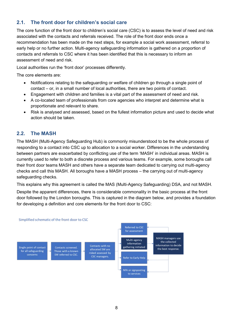### <span id="page-7-0"></span>**2.1. The front door for children's social care**

The core function of the front door to children's social care (CSC) is to assess the level of need and risk associated with the contacts and referrals received. The role of the front door ends once a recommendation has been made on the next steps, for example a social work assessment, referral to early help or no further action. Multi-agency safeguarding information is gathered on a proportion of contacts and referrals to CSC where it has been identified that this is necessary to inform an assessment of need and risk.

Local authorities run the 'front door' processes differently.

The core elements are:

- Notifications relating to the safeguarding or welfare of children go through a single point of contact – or, in a small number of local authorities, there are two points of contact.
- Engagement with children and families is a vital part of the assessment of need and risk.
- A co-located team of professionals from core agencies who interpret and determine what is proportionate and relevant to share.
- Risk is analysed and assessed, based on the fullest information picture and used to decide what action should be taken.

#### <span id="page-7-1"></span>**2.2. The MASH**

The MASH (Multi-Agency Safeguarding Hub) is commonly misunderstood to be the whole process of responding to a contact into CSC up to allocation to a social worker. Differences in the understanding between partners are exacerbated by conflicting use of the term 'MASH' in individual areas. MASH is currently used to refer to both a discrete process and various teams. For example, some boroughs call their front door teams MASH and others have a separate team dedicated to carrying out multi-agency checks and call this MASH. All boroughs have a MASH process – the carrying out of multi-agency safeguarding checks.

This explains why this agreement is called the MAS (Multi-Agency Safeguarding) DSA, and not MASH.

Despite the apparent differences, there is considerable commonality in the basic process at the front door followed by the London boroughs. This is captured in the diagram below, and provides a foundation for developing a definition and core elements for the front door to CSC:

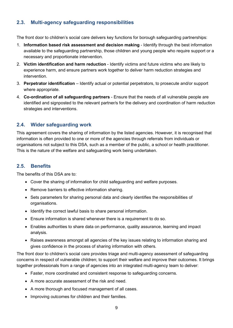#### <span id="page-8-0"></span>**2.3. Multi-agency safeguarding responsibilities**

The front door to children's social care delivers key functions for borough safeguarding partnerships:

- 1. **Information based risk assessment and decision making** Identify through the best information available to the safeguarding partnership, those children and young people who require support or a necessary and proportionate intervention.
- 2. **Victim identification and harm reduction** Identify victims and future victims who are likely to experience harm, and ensure partners work together to deliver harm reduction strategies and intervention.
- 3. **Perpetrator identification**  Identify actual or potential perpetrators, to prosecute and/or support where appropriate.
- 4. **Co-ordination of all safeguarding partners**  Ensure that the needs of all vulnerable people are identified and signposted to the relevant partner/s for the delivery and coordination of harm reduction strategies and interventions.

#### <span id="page-8-1"></span>**2.4. Wider safeguarding work**

This agreement covers the sharing of information by the listed agencies. However, it is recognised that information is often provided to one or more of the agencies through referrals from individuals or organisations not subject to this DSA, such as a member of the public, a school or health practitioner. This is the nature of the welfare and safeguarding work being undertaken.

#### <span id="page-8-2"></span>**2.5. Benefits**

The benefits of this DSA are to:

- Cover the sharing of information for child safeguarding and welfare purposes.
- Remove barriers to effective information sharing.
- Sets parameters for sharing personal data and clearly identifies the responsibilities of organisations.
- Identify the correct lawful basis to share personal information.
- Ensure information is shared whenever there is a requirement to do so.
- Enables authorities to share data on performance, quality assurance, learning and impact analysis.
- Raises awareness amongst all agencies of the key issues relating to information sharing and gives confidence in the process of sharing information with others.

The front door to children's social care provides triage and multi-agency assessment of safeguarding concerns in respect of vulnerable children; to support their welfare and improve their outcomes. It brings together professionals from a range of agencies into an integrated multi-agency team to deliver:

- Faster, more coordinated and consistent response to safeguarding concerns.
- A more accurate assessment of the risk and need.
- A more thorough and focused management of all cases.
- Improving outcomes for children and their families.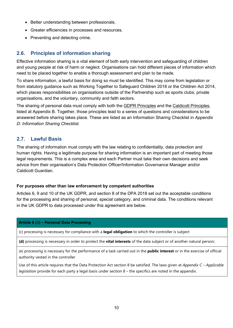- Better understanding between professionals.
- Greater efficiencies in processes and resources.
- Preventing and detecting crime.

#### <span id="page-9-0"></span>**2.6. Principles of information sharing**

Effective information sharing is a vital element of both early intervention and safeguarding of children and young people at risk of harm or neglect. Organisations can hold different pieces of information which need to be placed together to enable a thorough assessment and plan to be made.

To share information, a lawful basis for doing so must be identified. This may come from legislation or from statutory guidance such as Working Together to Safeguard Children 2018 or the Children Act 2014, which places responsibilities on organisations outside of the Partnership such as sports clubs, private organisations, and the voluntary, community and faith sectors.

The sharing of personal data must comply with both the [GDPR Principles](https://ico.org.uk/for-organisations/guide-to-the-general-data-protection-regulation-gdpr/principles/) and the [Caldicott Principles,](https://www.igt.hscic.gov.uk/Caldicott2Principles.aspx) listed at Appendix B. Together, those principles lead to a series of questions and considerations to be answered before sharing takes place. These are listed as an Information Sharing Checklist in *[Appendix](#page-26-0)  [D: Information Sharing Checklist.](#page-26-0)*

#### <span id="page-9-1"></span>**2.7. Lawful Basis**

The sharing of information must comply with the law relating to confidentiality, data protection and human rights. Having a legitimate purpose for sharing information is an important part of meeting those legal requirements. This is a complex area and each Partner must take their own decisions and seek advice from their organisation's Data Protection Officer/Information Governance Manager and/or Caldicott Guardian.

#### **For purposes other than law enforcement by competent authorities**

Articles 6, 9 and 10 of the UK GDPR, and section 8 of the DPA 2018 set out the acceptable conditions for the processing and sharing of personal, special category, and criminal data. The conditions relevant in the UK GDPR to data processed under this agreement are below.

#### **Article 6 (1) – Personal Data Processing**

(c) processing is necessary for compliance with a **legal obligation** to which the controller is subject

**(d)** processing is necessary in order to protect the **vital interests** of the data subject or of another natural person;

(e) processing is necessary for the performance of a task carried out in the **public interest** or in the exercise of official authority vested in the controller

Use of this article requires that the Data Protection Act section 8 be satisfied. The laws given at *[Appendix C –](#page-21-0) Applicable [legislation](#page-21-0)* provide for each party a legal basis under section 8 – the specifics are noted in the appendix.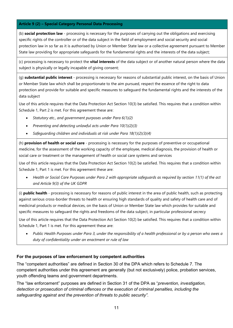#### **Article 9 (2) – Special Category Personal Data Processing**

(b) **social protection law** - processing is necessary for the purposes of carrying out the obligations and exercising specific rights of the controller or of the data subject in the field of employment and social security and social protection law in so far as it is authorised by Union or Member State law or a collective agreement pursuant to Member State law providing for appropriate safeguards for the fundamental rights and the interests of the data subject;

(c) processing is necessary to protect the **vital interests** of the data subject or of another natural person where the data subject is physically or legally incapable of giving consent;

(g) **substantial public interest** - processing is necessary for reasons of substantial public interest, on the basis of Union or Member State law which shall be proportionate to the aim pursued, respect the essence of the right to data protection and provide for suitable and specific measures to safeguard the fundamental rights and the interests of the data subject

Use of this article requires that the Data Protection Act Section 10(3) be satisfied. This requires that a condition within Schedule 1, Part 2 is met. For this agreement these are:

- *Statutory etc., and government purposes under Para 6(1)(2)*
- *Preventing and detecting unlawful acts under Para 10(1)(2)(3)*
- *Safeguarding children and individuals at risk under Para 18(1)(2)(3)(4)*

(h) **provision of health or social care** - processing is necessary for the purposes of preventive or occupational medicine, for the assessment of the working capacity of the employee, medical diagnosis, the provision of health or social care or treatment or the management of health or social care systems and services

Use of this article requires that the Data Protection Act Section 10(2) be satisfied. This requires that a condition within Schedule 1, Part 1 is met. For this agreement these are:

• *Health or Social Care Purposes under Para 2 with appropriate safeguards as required by section 11(1) of the act and Article 9(3) of the UK GDPR*

(i) **public health** - processing is necessary for reasons of public interest in the area of public health, such as protecting against serious cross-border threats to health or ensuring high standards of quality and safety of health care and of medicinal products or medical devices, on the basis of Union or Member State law which provides for suitable and specific measures to safeguard the rights and freedoms of the data subject, in particular professional secrecy

Use of this article requires that the Data Protection Act Section 10(2) be satisfied. This requires that a condition within Schedule 1, Part 1 is met. For this agreement these are:

• *Public Health Purposes under Para 3, under the responsibility of a health professional or by a person who owes a duty of confidentiality under an enactment or rule of law*

#### **For the purposes of law enforcement by competent authorities**

The "competent authorities" are defined in Section 30 of the DPA which refers to Schedule 7. The competent authorities under this agreement are generally (but not exclusively) police, probation services, youth offending teams and government departments.

The "law enforcement" purposes are defined in Section 31 of the DPA as "*prevention, investigation, detection or prosecution of criminal offences or the execution of criminal penalties, including the safeguarding against and the prevention of threats to public security".*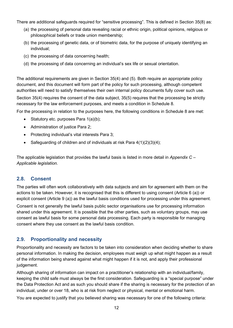There are additional safeguards required for "sensitive processing". This is defined in Section 35(8) as:

- (a) the processing of personal data revealing racial or ethnic origin, political opinions, religious or philosophical beliefs or trade union membership;
- (b) the processing of genetic data, or of biometric data, for the purpose of uniquely identifying an individual;
- (c) the processing of data concerning health;
- (d) the processing of data concerning an individual's sex life or sexual orientation.

The additional requirements are given in Section 35(4) and (5). Both require an appropriate policy document, and this document will form part of the policy for such processing, although competent authorities will need to satisfy themselves their own internal policy documents fully cover such use. Section 35(4) requires the consent of the data subject, 35(5) requires that the processing be strictly necessary for the law enforcement purposes, and meets a condition in Schedule 8.

For the processing in relation to the purposes here, the following conditions in Schedule 8 are met:

- Statutory etc. purposes Para 1(a)(b);
- Administration of justice Para 2;
- Protecting individual's vital interests Para 3;
- Safeguarding of children and of individuals at risk Para 4(1)(2)(3)(4);

The applicable legislation that provides the lawful basis is listed in more detail in *[Appendix C –](#page-21-0) [Applicable legislation.](#page-21-0)*

#### <span id="page-11-0"></span>**2.8. Consent**

The parties will often work collaboratively with data subjects and aim for agreement with them on the actions to be taken. However, it is recognised that this is different to using consent (Article 6 (a)) or explicit consent (Article 9 (a)) as the lawful basis conditions used for processing under this agreement.

Consent is not generally the lawful basis public sector organisations use for processing information shared under this agreement. It is possible that the other parties, such as voluntary groups, may use consent as lawful basis for some personal data processing. Each party is responsible for managing consent where they use consent as the lawful basis condition.

#### <span id="page-11-1"></span>**2.9. Proportionality and necessity**

Proportionality and necessity are factors to be taken into consideration when deciding whether to share personal information. In making the decision, employees must weigh up what might happen as a result of the information being shared against what might happen if it is not, and apply their professional judgement.

Although sharing of information can impact on a practitioner's relationship with an individual/family, keeping the child safe must always be the first consideration. Safeguarding is a "special purpose" under the Data Protection Act and as such you should share if the sharing is necessary for the protection of an individual, under or over 18, who is at risk from neglect or physical, mental or emotional harm.

You are expected to justify that you believed sharing was necessary for one of the following criteria: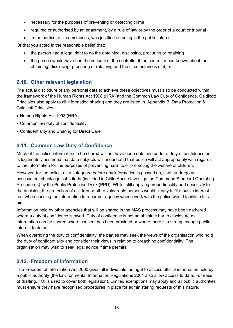- necessary for the purposes of preventing or detecting crime
- required or authorised by an enactment, by a rule of law or by the order of a court or tribunal
- in the particular circumstances, was justified as being in the public interest.

Or that you acted in the reasonable belief that:

- the person had a legal right to do the obtaining, disclosing, procuring or retaining
- the person would have had the consent of the controller if the controller had known about the obtaining, disclosing, procuring or retaining and the circumstances of it, or

#### <span id="page-12-0"></span>**2.10. Other relevant legislation**

The actual disclosure of any personal data to achieve these objectives must also be conducted within the framework of the Human Rights Act 1998 (HRA) and the Common Law Duty of Confidence. Caldicott Principles also apply to all information sharing and they are listed in [Appendix B: Data Protection &](#page-20-0)  [Caldicott Principles.](#page-20-0)

- Human Rights Act 1998 (HRA)
- Common law duty of confidentiality
- Confidentiality and Sharing for Direct Care

#### <span id="page-12-1"></span>**2.11. Common Law Duty of Confidence**

Much of the police information to be shared will not have been obtained under a duty of confidence as it is legitimately assumed that data subjects will understand that police will act appropriately with regards to the information for the purposes of preventing harm to or promoting the welfare of children.

However, for the police, as a safeguard before any information is passed on, it will undergo an assessment check against criteria (included in Child Abuse Investigation Command Standard Operating Procedures) by the Public Protection Desk (PPD). Whilst still applying proportionality and necessity to the decision, the protection of children or other vulnerable persons would clearly fulfil a public interest test when passing the information to a partner agency whose work with the police would facilitate this aim.

Information held by other agencies that will be shared in the MAS process may have been gathered where a duty of confidence is owed. Duty of confidence is not an absolute bar to disclosure as information can be shared where consent has been provided or where there is a strong enough public interest to do so.

When overriding the duty of confidentiality, the parties may seek the views of the organisation who hold the duty of confidentiality and consider their views in relation to breaching confidentiality. The organisation may wish to seek legal advice if time permits.

### <span id="page-12-2"></span>**2.12. Freedom of Information**

The Freedom of Information Act 2000 gives all individuals the right to access official information held by a public authority (the Environmental Information Regulations 2004 also allow access to data. For ease of drafting, FOI is used to cover both legislation). Limited exemptions may apply and all public authorities must ensure they have recognised procedures in place for administering requests of this nature.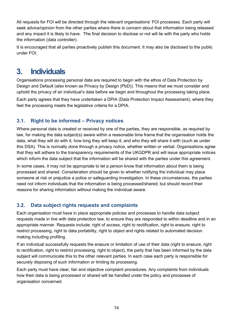All requests for FOI will be directed through the relevant organisations' FOI processes. Each party will seek advice/opinion from the other parties where there is concern about that information being released and any impact it is likely to have. The final decision to disclose or not will lie with the party who holds the information (data controller).

It is encouraged that all parties proactively publish this document. It may also be disclosed to the public under FOI.

## <span id="page-13-0"></span>**3. Individuals**

Organisations processing personal data are required to begin with the ethos of Data Protection by Design and Default (also known as Privacy by Design (PbD)). This means that we must consider and uphold the privacy of an individual's data before we begin and throughout the processing taking place.

Each party agrees that they have undertaken a DPIA (Data Protection Impact Assessment), where they feel the processing meets the legislative criteria for a DPIA.

### <span id="page-13-1"></span>**3.1. Right to be informed – Privacy notices**

Where personal data is created or received by one of the parties, they are responsible, as required by law, for making the data subject(s) aware within a reasonable time frame that the organisation holds the data, what they will do with it, how long they will keep it, and who they will share it with (such as under this DSA). This is normally done through a privacy notice, whether written or verbal. Organisations agree that they will adhere to the transparency requirements of the UKGDPR and will issue appropriate notices which inform the data subject that the information will be shared with the parties under this agreement.

In some cases, it may not be appropriate to let a person know that information about them is being processed and shared. Consideration should be given to whether notifying the individual may place someone at risk or prejudice a police or safeguarding investigation. In these circumstances, the parties need not inform individuals that the information is being processed/shared; but should record their reasons for sharing information without making the individual aware.

### <span id="page-13-2"></span>**3.2. Data subject rights requests and complaints**

Each organisation must have in place appropriate policies and processes to handle data subject requests made in line with data protection law, to ensure they are responded to within deadline and in an appropriate manner. Requests include; right of access, right to rectification, right to erasure, right to restrict processing, right to data portability, right to object and rights related to automated decision making including profiling.

If an individual successfully requests the erasure or limitation of use of their data (right to erasure, right to rectification, right to restrict processing, right to object), the party that has been informed by the data subject will communicate this to the other relevant parties. In each case each party is responsible for securely disposing of such information or limiting its processing.

Each party must have clear, fair and objective complaint procedures. Any complaints from individuals how their data is being processed or shared will be handled under the policy and processes of organisation concerned.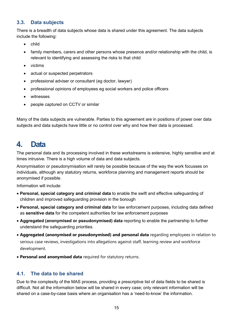#### <span id="page-14-0"></span>**3.3. Data subjects**

There is a breadth of data subjects whose data is shared under this agreement. The data subjects include the following:

- child
- family members, carers and other persons whose presence and/or relationship with the child, is relevant to identifying and assessing the risks to that child
- victims
- actual or suspected perpetrators
- professional adviser or consultant (eg doctor, lawyer)
- professional opinions of employees eg social workers and police officers
- witnesses
- people captured on CCTV or similar

Many of the data subjects are vulnerable. Parties to this agreement are in positions of power over data subjects and data subjects have little or no control over why and how their data is processed.

## <span id="page-14-1"></span>**4. Data**

The personal data and its processing involved in these workstreams is extensive, highly sensitive and at times intrusive. There is a high volume of data and data subjects.

Anonymisation or pseudonymisation will rarely be possible because of the way the work focusses on individuals, although any statutory returns, workforce planning and management reports should be anonymised if possible.

Information will include:

- **Personal, special category and criminal data** to enable the swift and effective safeguarding of children and improved safeguarding provision in the borough
- **Personal, special category and criminal data** for law enforcement purposes, including data defined as **sensitive data** for the competent authorities for law enforcement purposes
- **Aggregated (anonymised or pseudonymised) data** reporting to enable the partnership to further understand the safeguarding priorities.
- **Aggregated (anonymised or pseudonymised) and personal data** regarding employees in relation to serious case reviews, investigations into allegations against staff, learning review and workforce development.
- **Personal and anonymised data** required for statutory returns.

#### <span id="page-14-2"></span>**4.1. The data to be shared**

Due to the complexity of the MAS process, providing a prescriptive list of data fields to be shared is difficult. Not all the information below will be shared in every case; only relevant information will be shared on a case-by-case basis where an organisation has a 'need-to-know' the information.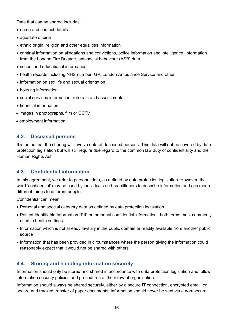Data that can be shared includes:

- name and contact details
- age/date of birth
- ethnic origin, religion and other equalities information
- criminal information on allegations and convictions, police information and intelligence, information from the London Fire Brigade, anti-social behaviour (ASB) data
- school and educational information
- health records including NHS number, GP, London Ambulance Service and other
- information on sex life and sexual orientation
- housing information
- social services information, referrals and assessments
- financial information
- images in photographs, film or CCTV
- employment information

#### <span id="page-15-0"></span>**4.2. Deceased persons**

It is noted that the sharing will involve data of deceased persons. This data will not be covered by data protection legislation but will still require due regard to the common law duty of confidentiality and the Human Rights Act.

#### <span id="page-15-1"></span>**4.3. Confidential information**

In this agreement, we refer to personal data, as defined by data protection legislation. However, the word 'confidential' may be used by individuals and practitioners to describe information and can mean different things to different people.

Confidential can mean:

- Personal and special category data as defined by data protection legislation
- Patient Identifiable Information (PII) or 'personal confidential information'; both terms most commonly used in health settings
- Information which is not already lawfully in the public domain or readily available from another public source
- Information that has been provided in circumstances where the person giving the information could reasonably expect that it would not be shared with others.

#### <span id="page-15-2"></span>**4.4. Storing and handling information securely**

Information should only be stored and shared in accordance with data protection legislation and follow information security policies and procedures of the relevant organisation.

Information should always be shared securely, either by a secure IT connection, encrypted email, or secure and tracked transfer of paper documents. Information should never be sent via a non-secure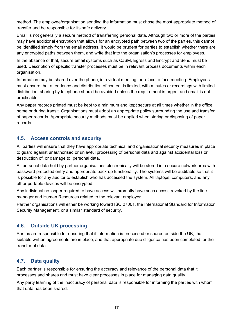method. The employee/organisation sending the information must chose the most appropriate method of transfer and be responsible for its safe delivery.

Email is not generally a secure method of transferring personal data. Although two or more of the parties may have additional encryption that allows for an encrypted path between two of the parties, this cannot be identified simply from the email address. It would be prudent for parties to establish whether there are any encrypted paths between them, and write that into the organisation's processes for employees.

In the absence of that, secure email systems such as CJSM, Egress and Encrypt and Send must be used. Description of specific transfer processes must be in relevant process documents within each organisation.

Information may be shared over the phone, in a virtual meeting, or a face to face meeting. Employees must ensure that attendance and distribution of content is limited, with minutes or recordings with limited distribution. sharing by telephone should be avoided unless the requirement is urgent and email is not practicable.

Any paper records printed must be kept to a minimum and kept secure at all times whether in the office, home or during transit. Organisations must adopt an appropriate policy surrounding the use and transfer of paper records. Appropriate security methods must be applied when storing or disposing of paper records.

#### <span id="page-16-0"></span>**4.5. Access controls and security**

All parties will ensure that they have appropriate technical and organisational security measures in place to guard against unauthorised or unlawful processing of personal data and against accidental loss or destruction of, or damage to, personal data.

All personal data held by partner organisations electronically will be stored in a secure network area with password protected entry and appropriate back-up functionality. The systems will be auditable so that it is possible for any auditor to establish who has accessed the system. All laptops, computers, and any other portable devices will be encrypted.

Any individual no longer required to have access will promptly have such access revoked by the line manager and Human Resources related to the relevant employer.

Partner organisations will either be working toward ISO 27001, the International Standard for Information Security Management, or a similar standard of security.

### <span id="page-16-1"></span>**4.6. Outside UK processing**

Parties are responsible for ensuring that if information is processed or shared outside the UK, that suitable written agreements are in place, and that appropriate due diligence has been completed for the transfer of data.

#### <span id="page-16-2"></span>**4.7. Data quality**

Each partner is responsible for ensuring the accuracy and relevance of the personal data that it processes and shares and must have clear processes in place for managing data quality.

Any party learning of the inaccuracy of personal data is responsible for informing the parties with whom that data has been shared.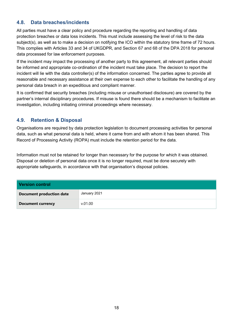#### <span id="page-17-0"></span>**4.8. Data breaches/incidents**

All parties must have a clear policy and procedure regarding the reporting and handling of data protection breaches or data loss incidents. This must include assessing the level of risk to the data subject(s), as well as to make a decision on notifying the ICO within the statutory time frame of 72 hours. This complies with Articles 33 and 34 of UKGDPR, and Section 67 and 68 of the DPA 2018 for personal data processed for law enforcement purposes.

If the incident may impact the processing of another party to this agreement, all relevant parties should be informed and appropriate co-ordination of the incident must take place. The decision to report the incident will lie with the data controller(s) of the information concerned. The parties agree to provide all reasonable and necessary assistance at their own expense to each other to facilitate the handling of any personal data breach in an expeditious and compliant manner.

It is confirmed that security breaches (including misuse or unauthorised disclosure) are covered by the partner's internal disciplinary procedures. If misuse is found there should be a mechanism to facilitate an investigation, including initiating criminal proceedings where necessary.

#### <span id="page-17-1"></span>**4.9. Retention & Disposal**

Organisations are required by data protection legislation to document processing activities for personal data, such as what personal data is held, where it came from and with whom it has been shared. This Record of Processing Activity (ROPA) must include the retention period for the data.

Information must not be retained for longer than necessary for the purpose for which it was obtained. Disposal or deletion of personal data once it is no longer required, must be done securely with appropriate safeguards, in accordance with that organisation's disposal policies.

| <b>Version control</b>          |              |
|---------------------------------|--------------|
| <b>Document production date</b> | January 2021 |
| <b>Document currency</b>        | v.01.00      |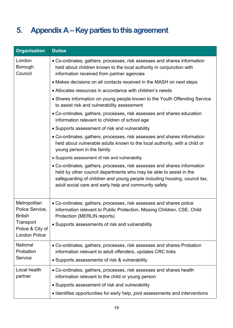# <span id="page-18-0"></span>**5. Appendix A –Key parties to this agreement**

| <b>Organisation</b>                                   | <b>Duties</b>                                                                                                                                                                                                                                                                        |
|-------------------------------------------------------|--------------------------------------------------------------------------------------------------------------------------------------------------------------------------------------------------------------------------------------------------------------------------------------|
| London<br>Borough<br>Council                          | • Co-ordinates, gathers, processes, risk assesses and shares information<br>held about children known to the local authority in conjunction with<br>information received from partner agencies                                                                                       |
|                                                       | • Makes decisions on all contacts received in the MASH on next steps                                                                                                                                                                                                                 |
|                                                       | • Allocates resources in accordance with children's needs                                                                                                                                                                                                                            |
|                                                       | • Shares information on young people known to the Youth Offending Service<br>to assist risk and vulnerability assessment                                                                                                                                                             |
|                                                       | • Co-ordinates, gathers, processes, risk assesses and shares education<br>information relevant to children of school age                                                                                                                                                             |
|                                                       | • Supports assessment of risk and vulnerability                                                                                                                                                                                                                                      |
|                                                       | • Co-ordinates, gathers, processes, risk assesses and shares information<br>held about vulnerable adults known to the local authority, with a child or<br>young person in the family.                                                                                                |
|                                                       | • Supports assessment of risk and vulnerability                                                                                                                                                                                                                                      |
|                                                       | • Co-ordinates, gathers, processes, risk assesses and shares information<br>held by other council departments who may be able to assist in the<br>safeguarding of children and young people including housing, council tax,<br>adult social care and early help and community safety |
| Metropolitan<br>Police Service,<br><b>British</b>     | • Co-ordinates, gathers, processes, risk assesses and shares police<br>information relevant to Public Protection, Missing Children, CSE, Child<br>Protection (MERLIN reports)                                                                                                        |
| Transport<br>Police & City of<br><b>London Police</b> | • Supports assessments of risk and vulnerability                                                                                                                                                                                                                                     |
| National<br>Probation<br>Service                      | • Co-ordinates, gathers, processes, risk assesses and shares Probation<br>information relevant to adult offenders, updates CRC links                                                                                                                                                 |
|                                                       | • Supports assessments of risk & vulnerability                                                                                                                                                                                                                                       |
| Local health<br>partner                               | • Co-ordinates, gathers, processes, risk assesses and shares health<br>information relevant to the child or young person                                                                                                                                                             |
|                                                       | • Supports assessment of risk and vulnerability                                                                                                                                                                                                                                      |
|                                                       | • Identifies opportunities for early help, joint assessments and interventions                                                                                                                                                                                                       |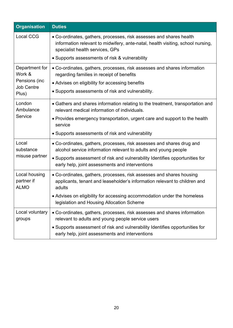| <b>Organisation</b>                        | <b>Duties</b>                                                                                                                                                                             |
|--------------------------------------------|-------------------------------------------------------------------------------------------------------------------------------------------------------------------------------------------|
| <b>Local CCG</b>                           | • Co-ordinates, gathers, processes, risk assesses and shares health<br>information relevant to midwifery, ante-natal, health visiting, school nursing,<br>specialist health services, GPs |
|                                            | • Supports assessments of risk & vulnerability                                                                                                                                            |
| Department for<br>Work &                   | • Co-ordinates, gathers, processes, risk assesses and shares information<br>regarding families in receipt of benefits                                                                     |
| Pensions (inc<br><b>Job Centre</b>         | • Advises on eligibility for accessing benefits                                                                                                                                           |
| Plus)                                      | • Supports assessments of risk and vulnerability.                                                                                                                                         |
| London<br>Ambulance                        | • Gathers and shares information relating to the treatment, transportation and<br>relevant medical information of individuals.                                                            |
| Service                                    | • Provides emergency transportation, urgent care and support to the health<br>service                                                                                                     |
|                                            | • Supports assessments of risk and vulnerability                                                                                                                                          |
| Local<br>substance                         | • Co-ordinates, gathers, processes, risk assesses and shares drug and<br>alcohol service information relevant to adults and young people                                                  |
| misuse partner                             | • Supports assessment of risk and vulnerability Identifies opportunities for<br>early help, joint assessments and interventions                                                           |
| Local housing<br>partner if<br><b>ALMO</b> | • Co-ordinates, gathers, processes, risk assesses and shares housing<br>applicants, tenant and leaseholder's information relevant to children and<br>adults                               |
|                                            | • Advises on eligibility for accessing accommodation under the homeless<br>legislation and Housing Allocation Scheme                                                                      |
| Local voluntary<br>groups                  | • Co-ordinates, gathers, processes, risk assesses and shares information<br>relevant to adults and young people service users                                                             |
|                                            | • Supports assessment of risk and vulnerability Identifies opportunities for<br>early help, joint assessments and interventions                                                           |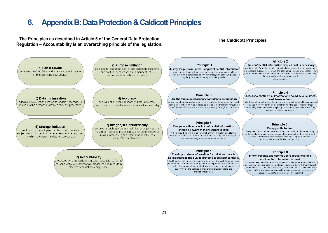## **6. Appendix B: Data Protection & Caldicott Principles**

**The Principles as described in Article 5 of the General Data Protection Regulation – Accountability is an overarching principle of the legislation. The Caldicott Principles**

<span id="page-20-0"></span>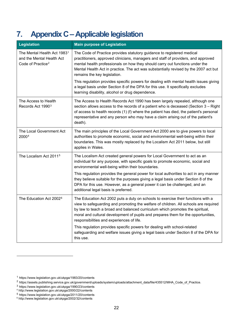# <span id="page-21-0"></span>**7. Appendix C–Applicable legislation**

| Legislation                                                                                           | <b>Main purpose of Legislation</b>                                                                                                                                                                                                                                                                                                                                                          |
|-------------------------------------------------------------------------------------------------------|---------------------------------------------------------------------------------------------------------------------------------------------------------------------------------------------------------------------------------------------------------------------------------------------------------------------------------------------------------------------------------------------|
| The Mental Health Act 1983 <sup>1</sup><br>and the Mental Health Act<br>Code of Practice <sup>2</sup> | The Code of Practice provides statutory guidance to registered medical<br>practitioners, approved clinicians, managers and staff of providers, and approved<br>mental health professionals on how they should carry out functions under the<br>Mental Health Act in practice. The act was substantially revised by the 2007 act but<br>remains the key legislation.                         |
|                                                                                                       | This regulation provides specific powers for dealing with mental health issues giving<br>a legal basis under Section 8 of the DPA for this use. It specifically excludes<br>learning disability, alcohol or drug dependence.                                                                                                                                                                |
| The Access to Health<br>Records Act 1990 <sup>3</sup>                                                 | The Access to Health Records Act 1990 has been largely repealed, although one<br>section allows access to the records of a patient who is deceased (Section 3 - Right<br>of access to health records (1) (f) where the patient has died, the patient's personal<br>representative and any person who may have a claim arising out of the patient's<br>death).                               |
| The Local Government Act<br>20004                                                                     | The main principles of the Local Government Act 2000 are to give powers to local<br>authorities to promote economic, social and environmental well-being within their<br>boundaries. This was mostly replaced by the Localism Act 2011 below, but still<br>applies in Wales.                                                                                                                |
| The Localism Act 2011 <sup>5</sup>                                                                    | The Localism Act created general powers for Local Government to act as an<br>individual for any purpose, with specific goals to promote economic, social and<br>environmental well-being within their boundaries.                                                                                                                                                                           |
|                                                                                                       | This regulation provides the general power for local authorities to act in any manner<br>they believe suitable for the purposes giving a legal basis under Section 8 of the<br>DPA for this use. However, as a general power it can be challenged, and an<br>additional legal basis is preferred.                                                                                           |
| The Education Act 2002 <sup>6</sup>                                                                   | The Education Act 2002 puts a duty on schools to exercise their functions with a<br>view to safeguarding and promoting the welfare of children. All schools are required<br>by law to teach a broad and balanced curriculum which promotes the spiritual,<br>moral and cultural development of pupils and prepares them for the opportunities,<br>responsibilities and experiences of life. |
|                                                                                                       | This regulation provides specific powers for dealing with school-related<br>safeguarding and welfare issues giving a legal basis under Section 8 of the DPA for<br>this use.                                                                                                                                                                                                                |

<span id="page-21-1"></span><sup>1</sup> https://www.legislation.gov.uk/ukpga/1983/20/contents

<span id="page-21-2"></span><sup>2</sup> https://assets.publishing.service.gov.uk/government/uploads/system/uploads/attachment\_data/file/435512/MHA\_Code\_of\_Practice.

 $^3$  https://www.legislation.gov.uk/ukpga/1990/23/contents

<span id="page-21-4"></span><span id="page-21-3"></span><sup>4</sup> http://www.legislation.gov.uk/ukpga/2000/22/contents

<span id="page-21-5"></span><sup>5</sup> https://www.legislation.gov.uk/ukpga/2011/20/contents

<span id="page-21-6"></span><sup>6</sup> http://www.legislation.gov.uk/ukpga/2002/32/contents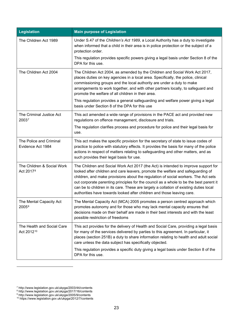| <b>Legislation</b>                                  | <b>Main purpose of Legislation</b>                                                                                                                                                                                                                                                                                                                                                                                                                                                                                        |
|-----------------------------------------------------|---------------------------------------------------------------------------------------------------------------------------------------------------------------------------------------------------------------------------------------------------------------------------------------------------------------------------------------------------------------------------------------------------------------------------------------------------------------------------------------------------------------------------|
| The Children Act 1989                               | Under S.47 of the Children's Act 1989, a Local Authority has a duty to investigate<br>when informed that a child in their area is in police protection or the subject of a<br>protection order.                                                                                                                                                                                                                                                                                                                           |
|                                                     | This regulation provides specific powers giving a legal basis under Section 8 of the<br>DPA for this use.                                                                                                                                                                                                                                                                                                                                                                                                                 |
| The Children Act 2004                               | The Children Act 2004, as amended by the Children and Social Work Act 2017,<br>places duties on key agencies in a local area. Specifically, the police, clinical<br>commissioning groups and the local authority are under a duty to make<br>arrangements to work together, and with other partners locally, to safeguard and<br>promote the welfare of all children in their area.                                                                                                                                       |
|                                                     | This regulation provides a general safeguarding and welfare power giving a legal<br>basis under Section 8 of the DPA for this use                                                                                                                                                                                                                                                                                                                                                                                         |
| The Criminal Justice Act<br>20037                   | This act amended a wide range of provisions in the PACE act and provided new<br>regulations on offence management, disclosure and trials.                                                                                                                                                                                                                                                                                                                                                                                 |
|                                                     | The regulation clarifies process and procedure for police and their legal basis for<br>use.                                                                                                                                                                                                                                                                                                                                                                                                                               |
| The Police and Criminal<br>Evidence Act 1984        | This act makes the specific provision for the secretary of state to issue codes of<br>practice to police with statutory effects. It provides the basis for many of the police<br>actions in respect of matters relating to safeguarding and other matters, and as<br>such provides their legal basis for use.                                                                                                                                                                                                             |
| The Children & Social Work<br>Act 2017 <sup>8</sup> | The Children and Social Work Act 2017 (the Act) is intended to improve support for<br>looked after children and care leavers, promote the welfare and safeguarding of<br>children, and make provisions about the regulation of social workers. The Act sets<br>out corporate parenting principles for the council as a whole to be the best parent it<br>can be to children in its care. These are largely a collation of existing duties local<br>authorities have towards looked after children and those leaving care. |
| The Mental Capacity Act<br>2005 <sup>9</sup>        | The Mental Capacity Act (MCA) 2005 promotes a person centred approach which<br>promotes autonomy and for those who may lack mental capacity ensures that<br>decisions made on their behalf are made in their best interests and with the least<br>possible restriction of freedoms                                                                                                                                                                                                                                        |
| The Health and Social Care<br>Act 201210            | This act provides for the delivery of Health and Social Care, providing a legal basis<br>for many of the services delivered by parties to this agreement. In particular, it<br>places (section 251B) a duty to share information relating to health and adult social<br>care unless the data subject has specifically objected.                                                                                                                                                                                           |
|                                                     | This regulation provides a specific duty giving a legal basis under Section 8 of the<br>DPA for this use.                                                                                                                                                                                                                                                                                                                                                                                                                 |

<span id="page-22-1"></span><sup>8</sup> http://www.legislation.gov.uk/ukpga/2017/16/contents

<span id="page-22-0"></span><sup>7</sup> http://www.legislation.gov.uk/ukpga/2003/44/contents

<span id="page-22-2"></span><sup>9</sup> http://www.legislation.gov.uk/ukpga/2005/9/contents

<span id="page-22-3"></span><sup>10</sup> https://www.legislation.gov.uk/ukpga/2012/7/contents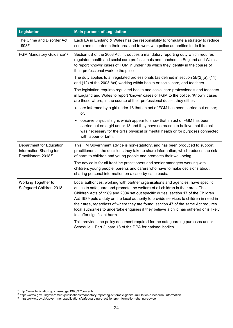| <b>Legislation</b>                                                                      | <b>Main purpose of Legislation</b>                                                                                                                                                                                                                                                                                                                                                                                                                                                                                                                                                                                                                        |
|-----------------------------------------------------------------------------------------|-----------------------------------------------------------------------------------------------------------------------------------------------------------------------------------------------------------------------------------------------------------------------------------------------------------------------------------------------------------------------------------------------------------------------------------------------------------------------------------------------------------------------------------------------------------------------------------------------------------------------------------------------------------|
| The Crime and Disorder Act<br>199811                                                    | Each LA in England & Wales has the responsibility to formulate a strategy to reduce<br>crime and disorder in their area and to work with police authorities to do this.                                                                                                                                                                                                                                                                                                                                                                                                                                                                                   |
| FGM Mandatory Guidance <sup>12</sup>                                                    | Section 5B of the 2003 Act introduces a mandatory reporting duty which requires<br>regulated health and social care professionals and teachers in England and Wales<br>to report 'known' cases of FGM in under 18s which they identify in the course of<br>their professional work to the police.                                                                                                                                                                                                                                                                                                                                                         |
|                                                                                         | The duty applies to all regulated professionals (as defined in section $5B(2)(a)$ , (11)<br>and (12) of the 2003 Act) working within health or social care, and teachers.                                                                                                                                                                                                                                                                                                                                                                                                                                                                                 |
|                                                                                         | The legislation requires regulated health and social care professionals and teachers<br>in England and Wales to report 'known' cases of FGM to the police. 'Known' cases<br>are those where, in the course of their professional duties, they either:                                                                                                                                                                                                                                                                                                                                                                                                     |
|                                                                                         | are informed by a girl under 18 that an act of FGM has been carried out on her;<br>$\bullet$<br>or,                                                                                                                                                                                                                                                                                                                                                                                                                                                                                                                                                       |
|                                                                                         | observe physical signs which appear to show that an act of FGM has been<br>carried out on a girl under 18 and they have no reason to believe that the act<br>was necessary for the girl's physical or mental health or for purposes connected<br>with labour or birth.                                                                                                                                                                                                                                                                                                                                                                                    |
| Department for Education<br>Information Sharing for<br>Practitioners 2018 <sup>13</sup> | This HM Government advice is non-statutory, and has been produced to support<br>practitioners in the decisions they take to share information, which reduces the risk<br>of harm to children and young people and promotes their well-being.                                                                                                                                                                                                                                                                                                                                                                                                              |
|                                                                                         | The advice is for all frontline practitioners and senior managers working with<br>children, young people, parents and carers who have to make decisions about<br>sharing personal information on a case-by-case basis.                                                                                                                                                                                                                                                                                                                                                                                                                                    |
| Working Together to<br>Safeguard Children 2018                                          | Local authorities, working with partner organisations and agencies, have specific<br>duties to safeguard and promote the welfare of all children in their area. The<br>Children Acts of 1989 and 2004 set out specific duties: section 17 of the Children<br>Act 1989 puts a duty on the local authority to provide services to children in need in<br>their area, regardless of where they are found; section 47 of the same Act requires<br>local authorities to undertake enquiries if they believe a child has suffered or is likely<br>to suffer significant harm.<br>This provides the policy document required for the safeguarding purposes under |
|                                                                                         | Schedule 1 Part 2, para 18 of the DPA for national bodies.                                                                                                                                                                                                                                                                                                                                                                                                                                                                                                                                                                                                |

<span id="page-23-0"></span><sup>11</sup> http://www.legislation.gov.uk/ukpga/1998/37/contents

<sup>12</sup> https://www.gov.uk/government/publications/mandatory-reporting-of-female-genital-mutilation-procedural-information

<span id="page-23-2"></span><span id="page-23-1"></span><sup>13</sup> https://www.gov.uk/government/publications/safeguarding-practitioners-information-sharing-advice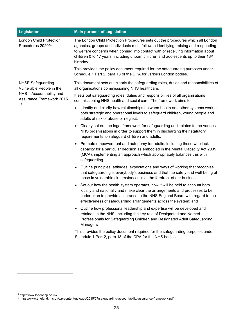| <b>Legislation</b>                                                | <b>Main purpose of Legislation</b>                                                                                                                                                                                                                                                                                                                                                                                                                                                                                 |
|-------------------------------------------------------------------|--------------------------------------------------------------------------------------------------------------------------------------------------------------------------------------------------------------------------------------------------------------------------------------------------------------------------------------------------------------------------------------------------------------------------------------------------------------------------------------------------------------------|
| <b>London Child Protection</b><br>Procedures 2020 <sup>14</sup>   | The London Child Protection Procedures sets out the procedures which all London<br>agencies, groups and individuals must follow in identifying, raising and responding<br>to welfare concerns when coming into contact with or receiving information about<br>children 0 to 17 years, including unborn children and adolescents up to their 18th<br>birthday<br>This provides the policy document required for the safeguarding purposes under<br>Schedule 1 Part 2, para 18 of the DPA for various London bodies. |
| <b>NHSE Safeguarding</b><br>Vulnerable People in the              | This document sets out clearly the safeguarding roles, duties and responsibilities of<br>all organisations commissioning NHS healthcare.                                                                                                                                                                                                                                                                                                                                                                           |
| NHS - Accountability and<br><b>Assurance Framework 2015</b><br>15 | It sets out safeguarding roles, duties and responsibilities of all organisations<br>commissioning NHS health and social care. The framework aims to:                                                                                                                                                                                                                                                                                                                                                               |
|                                                                   | Identify and clarify how relationships between health and other systems work at<br>$\bullet$<br>both strategic and operational levels to safeguard children, young people and<br>adults at risk of abuse or neglect.                                                                                                                                                                                                                                                                                               |
|                                                                   | Clearly set out the legal framework for safeguarding as it relates to the various<br>$\bullet$<br>NHS organisations in order to support them in discharging their statutory<br>requirements to safeguard children and adults.                                                                                                                                                                                                                                                                                      |
|                                                                   | Promote empowerment and autonomy for adults, including those who lack<br>$\bullet$<br>capacity for a particular decision as embodied in the Mental Capacity Act 2005<br>(MCA), implementing an approach which appropriately balances this with<br>safeguarding.                                                                                                                                                                                                                                                    |
|                                                                   | • Outline principles, attitudes, expectations and ways of working that recognise<br>that safeguarding is everybody's business and that the safety and well-being of<br>those in vulnerable circumstances is at the forefront of our business.                                                                                                                                                                                                                                                                      |
|                                                                   | Set out how the health system operates, how it will be held to account both<br>$\bullet$<br>locally and nationally and make clear the arrangements and processes to be<br>undertaken to provide assurance to the NHS England Board with regard to the<br>effectiveness of safeguarding arrangements across the system; and                                                                                                                                                                                         |
|                                                                   | Outline how professional leadership and expertise will be developed and<br>$\bullet$<br>retained in the NHS, including the key role of Designated and Named<br>Professionals for Safeguarding Children and Designated Adult Safeguarding<br>Managers                                                                                                                                                                                                                                                               |
|                                                                   | This provides the policy document required for the safeguarding purposes under<br>Schedule 1 Part 2, para 18 of the DPA for the NHS bodies,                                                                                                                                                                                                                                                                                                                                                                        |

<span id="page-24-0"></span><sup>14</sup> http://www.londoncp.co.uk/

<span id="page-24-1"></span><sup>15</sup> https://www.england.nhs.uk/wp-content/uploads/2015/07/safeguarding-accountability-assurance-framework.pdf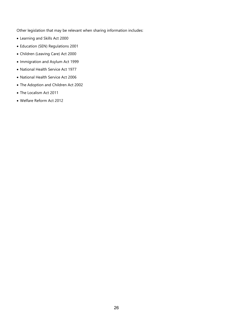Other legislation that may be relevant when sharing information includes:

- Learning and Skills Act 2000
- Education (SEN) Regulations 2001
- Children (Leaving Care) Act 2000
- Immigration and Asylum Act 1999
- National Health Service Act 1977
- National Health Service Act 2006
- The Adoption and Children Act 2002
- The Localism Act 2011
- Welfare Reform Act 2012